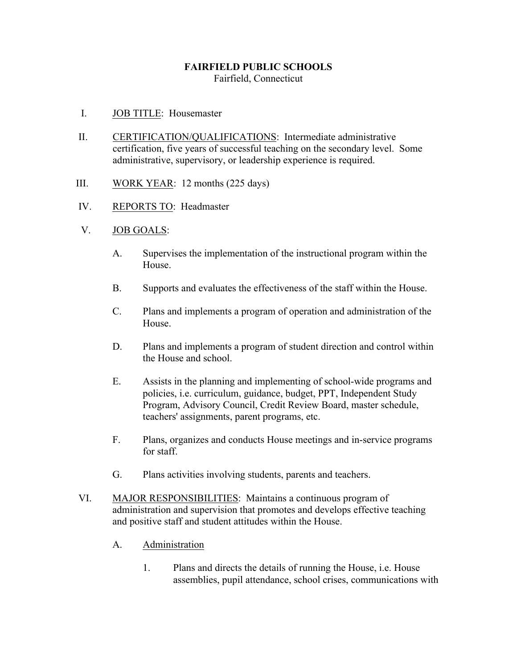### **FAIRFIELD PUBLIC SCHOOLS** Fairfield, Connecticut

- I. JOB TITLE: Housemaster
- II. CERTIFICATION/QUALIFICATIONS: Intermediate administrative certification, five years of successful teaching on the secondary level. Some administrative, supervisory, or leadership experience is required.
- III. WORK YEAR: 12 months (225 days)
- IV. REPORTS TO: Headmaster
- V. JOB GOALS:
	- A. Supervises the implementation of the instructional program within the House.
	- B. Supports and evaluates the effectiveness of the staff within the House.
	- C. Plans and implements a program of operation and administration of the House.
	- D. Plans and implements a program of student direction and control within the House and school.
	- E. Assists in the planning and implementing of school-wide programs and policies, i.e. curriculum, guidance, budget, PPT, Independent Study Program, Advisory Council, Credit Review Board, master schedule, teachers' assignments, parent programs, etc.
	- F. Plans, organizes and conducts House meetings and in-service programs for staff.
	- G. Plans activities involving students, parents and teachers.
- VI. MAJOR RESPONSIBILITIES: Maintains a continuous program of administration and supervision that promotes and develops effective teaching and positive staff and student attitudes within the House.
	- A. Administration
		- 1. Plans and directs the details of running the House, i.e. House assemblies, pupil attendance, school crises, communications with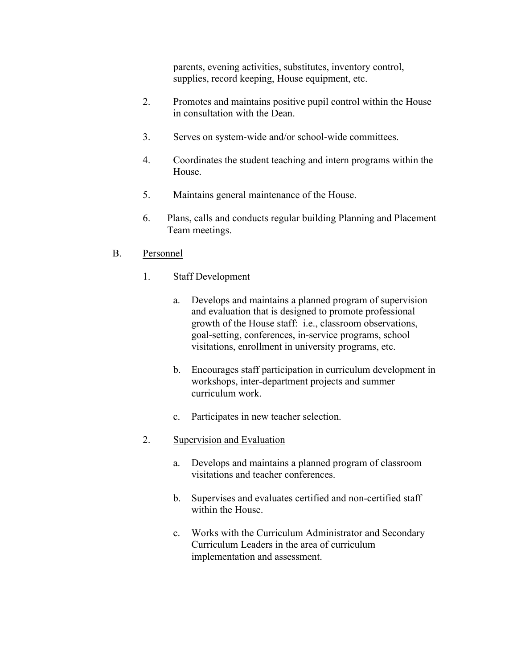parents, evening activities, substitutes, inventory control, supplies, record keeping, House equipment, etc.

- 2. Promotes and maintains positive pupil control within the House in consultation with the Dean.
- 3. Serves on system-wide and/or school-wide committees.
- 4. Coordinates the student teaching and intern programs within the House.
- 5. Maintains general maintenance of the House.
- 6. Plans, calls and conducts regular building Planning and Placement Team meetings.

## B. Personnel

- 1. Staff Development
	- a. Develops and maintains a planned program of supervision and evaluation that is designed to promote professional growth of the House staff: i.e., classroom observations, goal-setting, conferences, in-service programs, school visitations, enrollment in university programs, etc.
	- b. Encourages staff participation in curriculum development in workshops, inter-department projects and summer curriculum work.
	- c. Participates in new teacher selection.

## 2. Supervision and Evaluation

- a. Develops and maintains a planned program of classroom visitations and teacher conferences.
- b. Supervises and evaluates certified and non-certified staff within the House.
- c. Works with the Curriculum Administrator and Secondary Curriculum Leaders in the area of curriculum implementation and assessment.